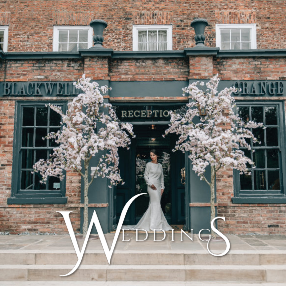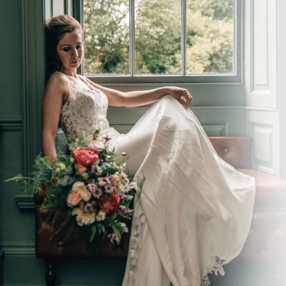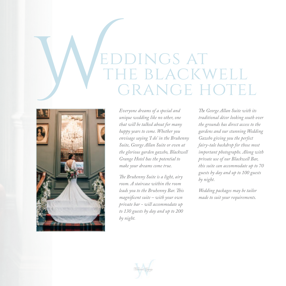## eddings at THE BLACKWELL<br>GRANGE HOTEL



*Everyone dreams of a special and unique wedding like no other, one that will be talked about for many happy years to come. Whether you envisage saying 'I do' in the Bruhenny Suite, George Allan Suite or even at the glorious garden gazebo, Blackwell Grange Hotel has the potential to make your dreams come true.*

*The Bruhenny Suite is a light, airy room. A staircase within the room leads you to the Bruhenny Bar.This magnificent suite – with your own private bar - will accommodate up to 130 guests by day and up to 200 by night.*

*The George Allan Suite with its traditional décor looking south over the grounds has direct access to the gardens and our stunning Wedding Gazebo giving you the perfect fairy-tale backdrop for those most important photographs. Along with private use of our Blackwell Bar, this suite can accommodate up to 70 guests by day and up to 100 guests by night.*

*Wedding packages may be tailor made to suit your requirements.*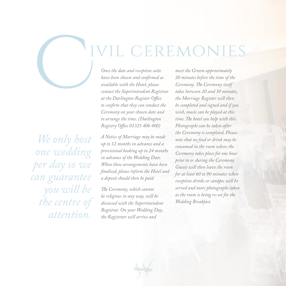## IVIL CEREMONIES<br>  $\begin{array}{lll} & & \text{\\ \textit{Once the date and reception suite} & \textit{meet the Group approximately} \end{array}$

*We only host one wedding per day so we can guarantee you will be the centre of attention.*

*have been chosen and confirmed as available with the Hotel, please contact the Superintendent Registrar at the Darlington Register Of ice to confirm that they can conduct the Ceremony on your chosen date and to arrange the time. (Darlington Registry Of ice 01325 406 400)*

*A Notice of Marriage may be made up to 12 months in advance and a provisional booking up to 24 months in advance of the Wedding Date. When these arrangements have been finalised, please inform the Hotel and a deposit should then be paid.*

*The Ceremony, which cannot be religious in any way, will be discussed with the Superintendent Registrar. On your Wedding Day, the Registrars will arrive and*

*20 minutes before the time of the Ceremony.The Ceremony itself takes between 20 and 30 minutes, the Marriage Register will then be completed and signed and if you wish, music can be played at this time.The hotel can help with this. Photographs can be taken after the Ceremony is completed. Please note that no food or drink may be consumed in the room where the Ceremony takes place for one hour prior to or during the Ceremony. Guests will then leave the room for at least 60 to 90 minutes when reception drinks or canápes will be served and more photographs taken as the room is being re-set for the Wedding Breakfast.*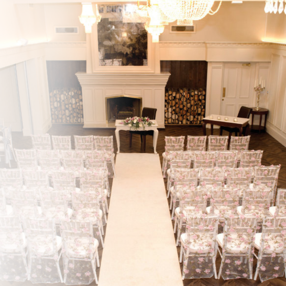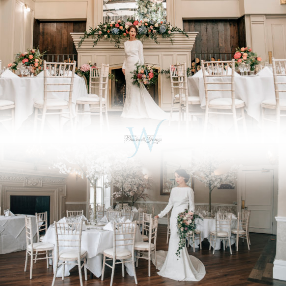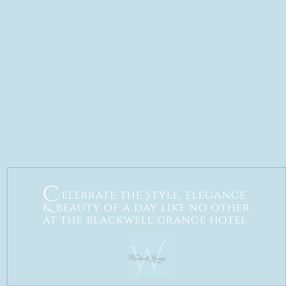